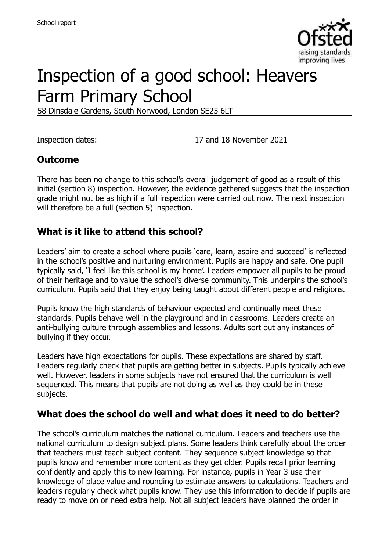

# Inspection of a good school: Heavers Farm Primary School

58 Dinsdale Gardens, South Norwood, London SE25 6LT

Inspection dates: 17 and 18 November 2021

## **Outcome**

There has been no change to this school's overall judgement of good as a result of this initial (section 8) inspection. However, the evidence gathered suggests that the inspection grade might not be as high if a full inspection were carried out now. The next inspection will therefore be a full (section 5) inspection.

#### **What is it like to attend this school?**

Leaders' aim to create a school where pupils 'care, learn, aspire and succeed' is reflected in the school's positive and nurturing environment. Pupils are happy and safe. One pupil typically said, 'I feel like this school is my home'. Leaders empower all pupils to be proud of their heritage and to value the school's diverse community. This underpins the school's curriculum. Pupils said that they enjoy being taught about different people and religions.

Pupils know the high standards of behaviour expected and continually meet these standards. Pupils behave well in the playground and in classrooms. Leaders create an anti-bullying culture through assemblies and lessons. Adults sort out any instances of bullying if they occur.

Leaders have high expectations for pupils. These expectations are shared by staff. Leaders regularly check that pupils are getting better in subjects. Pupils typically achieve well. However, leaders in some subjects have not ensured that the curriculum is well sequenced. This means that pupils are not doing as well as they could be in these subjects.

#### **What does the school do well and what does it need to do better?**

The school's curriculum matches the national curriculum. Leaders and teachers use the national curriculum to design subject plans. Some leaders think carefully about the order that teachers must teach subject content. They sequence subject knowledge so that pupils know and remember more content as they get older. Pupils recall prior learning confidently and apply this to new learning. For instance, pupils in Year 3 use their knowledge of place value and rounding to estimate answers to calculations. Teachers and leaders regularly check what pupils know. They use this information to decide if pupils are ready to move on or need extra help. Not all subject leaders have planned the order in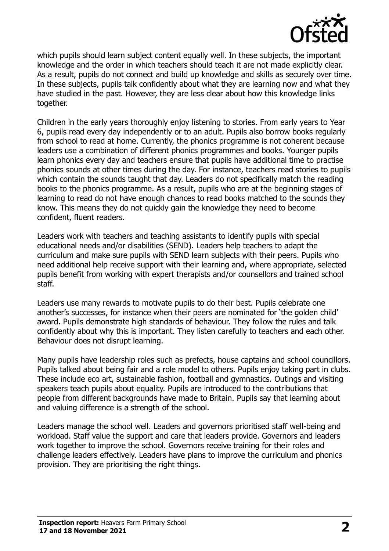

which pupils should learn subject content equally well. In these subjects, the important knowledge and the order in which teachers should teach it are not made explicitly clear. As a result, pupils do not connect and build up knowledge and skills as securely over time. In these subjects, pupils talk confidently about what they are learning now and what they have studied in the past. However, they are less clear about how this knowledge links together.

Children in the early years thoroughly enjoy listening to stories. From early years to Year 6, pupils read every day independently or to an adult. Pupils also borrow books regularly from school to read at home. Currently, the phonics programme is not coherent because leaders use a combination of different phonics programmes and books. Younger pupils learn phonics every day and teachers ensure that pupils have additional time to practise phonics sounds at other times during the day. For instance, teachers read stories to pupils which contain the sounds taught that day. Leaders do not specifically match the reading books to the phonics programme. As a result, pupils who are at the beginning stages of learning to read do not have enough chances to read books matched to the sounds they know. This means they do not quickly gain the knowledge they need to become confident, fluent readers.

Leaders work with teachers and teaching assistants to identify pupils with special educational needs and/or disabilities (SEND). Leaders help teachers to adapt the curriculum and make sure pupils with SEND learn subjects with their peers. Pupils who need additional help receive support with their learning and, where appropriate, selected pupils benefit from working with expert therapists and/or counsellors and trained school staff.

Leaders use many rewards to motivate pupils to do their best. Pupils celebrate one another's successes, for instance when their peers are nominated for 'the golden child' award. Pupils demonstrate high standards of behaviour. They follow the rules and talk confidently about why this is important. They listen carefully to teachers and each other. Behaviour does not disrupt learning.

Many pupils have leadership roles such as prefects, house captains and school councillors. Pupils talked about being fair and a role model to others. Pupils enjoy taking part in clubs. These include eco art, sustainable fashion, football and gymnastics. Outings and visiting speakers teach pupils about equality. Pupils are introduced to the contributions that people from different backgrounds have made to Britain. Pupils say that learning about and valuing difference is a strength of the school.

Leaders manage the school well. Leaders and governors prioritised staff well-being and workload. Staff value the support and care that leaders provide. Governors and leaders work together to improve the school. Governors receive training for their roles and challenge leaders effectively. Leaders have plans to improve the curriculum and phonics provision. They are prioritising the right things.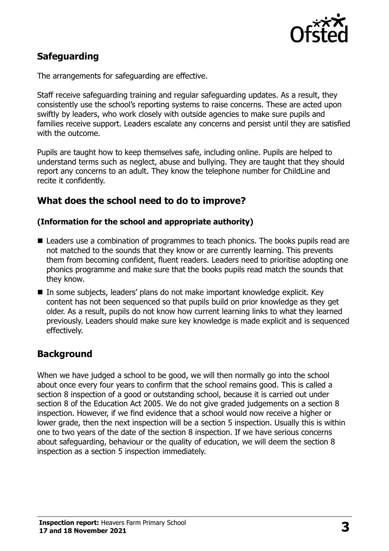

# **Safeguarding**

The arrangements for safeguarding are effective.

Staff receive safeguarding training and regular safeguarding updates. As a result, they consistently use the school's reporting systems to raise concerns. These are acted upon swiftly by leaders, who work closely with outside agencies to make sure pupils and families receive support. Leaders escalate any concerns and persist until they are satisfied with the outcome.

Pupils are taught how to keep themselves safe, including online. Pupils are helped to understand terms such as neglect, abuse and bullying. They are taught that they should report any concerns to an adult. They know the telephone number for ChildLine and recite it confidently.

#### **What does the school need to do to improve?**

#### **(Information for the school and appropriate authority)**

- Leaders use a combination of programmes to teach phonics. The books pupils read are not matched to the sounds that they know or are currently learning. This prevents them from becoming confident, fluent readers. Leaders need to prioritise adopting one phonics programme and make sure that the books pupils read match the sounds that they know.
- In some subjects, leaders' plans do not make important knowledge explicit. Key content has not been sequenced so that pupils build on prior knowledge as they get older. As a result, pupils do not know how current learning links to what they learned previously. Leaders should make sure key knowledge is made explicit and is sequenced effectively.

## **Background**

When we have judged a school to be good, we will then normally go into the school about once every four years to confirm that the school remains good. This is called a section 8 inspection of a good or outstanding school, because it is carried out under section 8 of the Education Act 2005. We do not give graded judgements on a section 8 inspection. However, if we find evidence that a school would now receive a higher or lower grade, then the next inspection will be a section 5 inspection. Usually this is within one to two years of the date of the section 8 inspection. If we have serious concerns about safeguarding, behaviour or the quality of education, we will deem the section 8 inspection as a section 5 inspection immediately.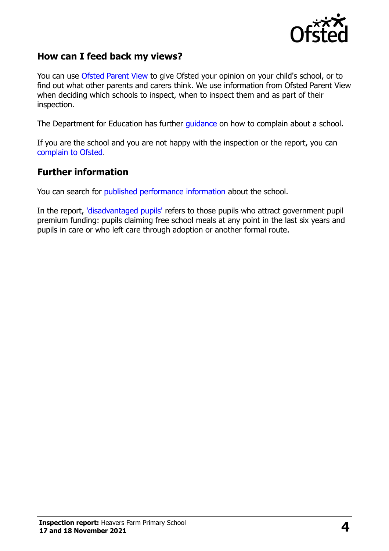

## **How can I feed back my views?**

You can use [Ofsted Parent View](https://parentview.ofsted.gov.uk/) to give Ofsted your opinion on your child's school, or to find out what other parents and carers think. We use information from Ofsted Parent View when deciding which schools to inspect, when to inspect them and as part of their inspection.

The Department for Education has further [guidance](http://www.gov.uk/complain-about-school) on how to complain about a school.

If you are the school and you are not happy with the inspection or the report, you can [complain to Ofsted.](https://www.gov.uk/complain-ofsted-report)

#### **Further information**

You can search for [published performance information](http://www.compare-school-performance.service.gov.uk/) about the school.

In the report, ['disadvantaged pupils'](http://www.gov.uk/guidance/pupil-premium-information-for-schools-and-alternative-provision-settings) refers to those pupils who attract government pupil premium funding: pupils claiming free school meals at any point in the last six years and pupils in care or who left care through adoption or another formal route.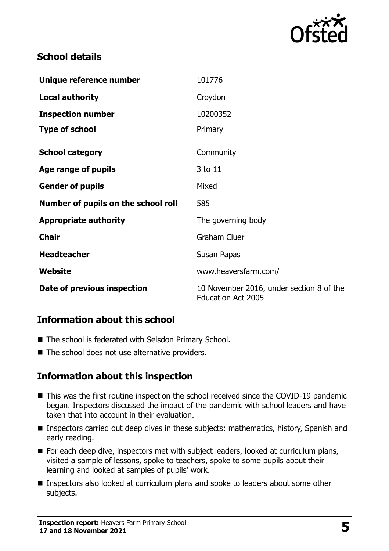

## **School details**

| Unique reference number             | 101776                                                                |
|-------------------------------------|-----------------------------------------------------------------------|
| <b>Local authority</b>              | Croydon                                                               |
| <b>Inspection number</b>            | 10200352                                                              |
| <b>Type of school</b>               | Primary                                                               |
| <b>School category</b>              | Community                                                             |
| Age range of pupils                 | 3 to 11                                                               |
| <b>Gender of pupils</b>             | Mixed                                                                 |
| Number of pupils on the school roll | 585                                                                   |
| <b>Appropriate authority</b>        | The governing body                                                    |
| <b>Chair</b>                        | <b>Graham Cluer</b>                                                   |
| <b>Headteacher</b>                  | Susan Papas                                                           |
| Website                             | www.heaversfarm.com/                                                  |
| Date of previous inspection         | 10 November 2016, under section 8 of the<br><b>Education Act 2005</b> |

## **Information about this school**

- The school is federated with Selsdon Primary School.
- The school does not use alternative providers.

## **Information about this inspection**

- This was the first routine inspection the school received since the COVID-19 pandemic began. Inspectors discussed the impact of the pandemic with school leaders and have taken that into account in their evaluation.
- Inspectors carried out deep dives in these subjects: mathematics, history, Spanish and early reading.
- For each deep dive, inspectors met with subject leaders, looked at curriculum plans, visited a sample of lessons, spoke to teachers, spoke to some pupils about their learning and looked at samples of pupils' work.
- Inspectors also looked at curriculum plans and spoke to leaders about some other subjects.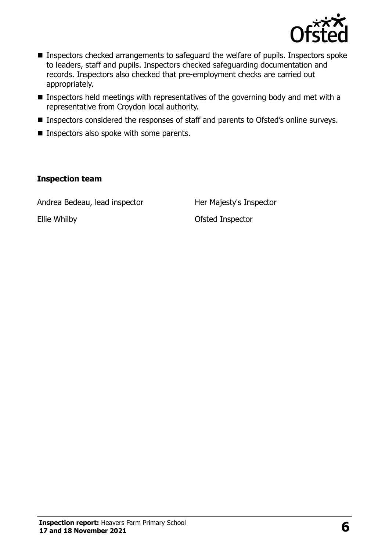

- **Inspectors checked arrangements to safeguard the welfare of pupils. Inspectors spoke** to leaders, staff and pupils. Inspectors checked safeguarding documentation and records. Inspectors also checked that pre-employment checks are carried out appropriately.
- **Inspectors held meetings with representatives of the governing body and met with a** representative from Croydon local authority.
- **Inspectors considered the responses of staff and parents to Ofsted's online surveys.**
- **Inspectors also spoke with some parents.**

#### **Inspection team**

Andrea Bedeau, lead inspector Her Majesty's Inspector

Ellie Whilby Ofsted Inspector